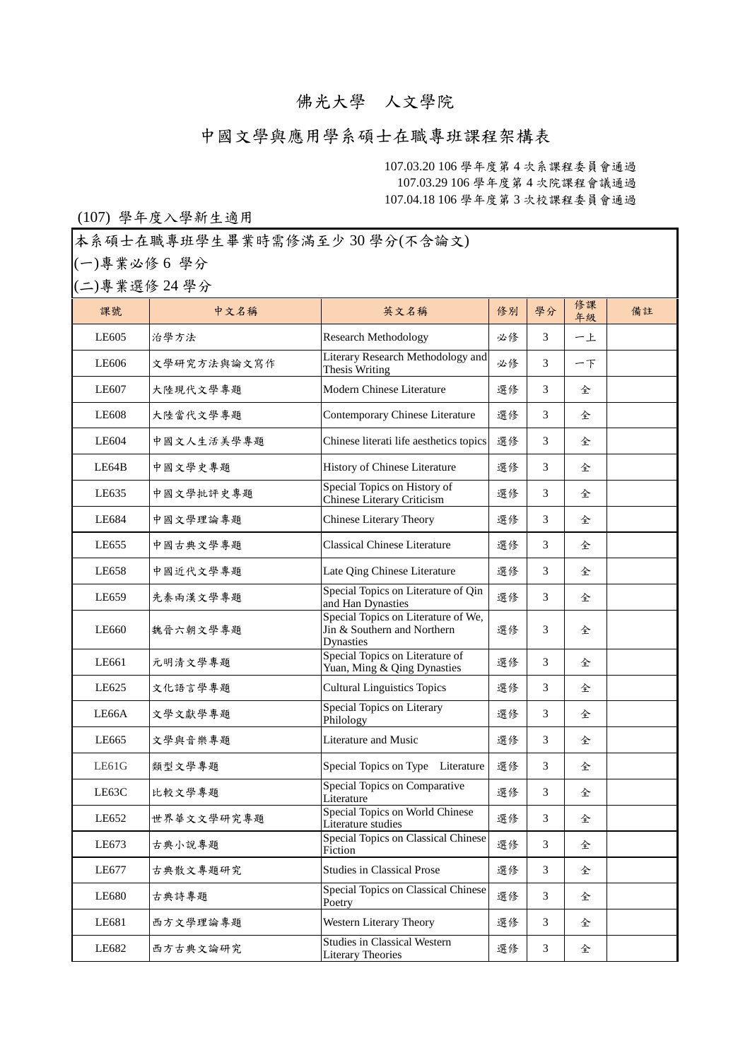## 佛光大學 人文學院

## 中國文學與應用學系碩士在職專班課程架構表

107.03.20 106 學年度第 4 次系課程委員會通過 107.03.29 106 學年度第 4 次院課程會議通過 107.04.18 106 學年度第 3 次校課程委員會通過

## (107) 學年度入學新生適用

本系碩士在職專班學生畢業時需修滿至少 30 學分(不含論文)

(一)專業必修 6 學分

(二)專業選修 24 學分

| 課號    | 中文名稱        | 英文名稱                                                                                   | 修別 | 學分 | 修課<br>年級 | 備註 |
|-------|-------------|----------------------------------------------------------------------------------------|----|----|----------|----|
| LE605 | 治學方法        | <b>Research Methodology</b>                                                            | 必修 | 3  | 一上       |    |
| LE606 | 文學研究方法與論文寫作 | Literary Research Methodology and<br>Thesis Writing                                    | 必修 | 3  | $ T$     |    |
| LE607 | 大陸現代文學專題    | Modern Chinese Literature                                                              | 選修 | 3  | 全        |    |
| LE608 | 大陸當代文學專題    | Contemporary Chinese Literature                                                        | 選修 | 3  | 全        |    |
| LE604 | 中國文人生活美學專題  | Chinese literati life aesthetics topics                                                | 選修 | 3  | 全        |    |
| LE64B | 中國文學史專題     | History of Chinese Literature                                                          | 選修 | 3  | 全        |    |
| LE635 | 中國文學批評史專題   | Special Topics on History of<br>Chinese Literary Criticism                             | 選修 | 3  | 全        |    |
| LE684 | 中國文學理論專題    | Chinese Literary Theory                                                                | 選修 | 3  | 全        |    |
| LE655 | 中國古典文學專題    | <b>Classical Chinese Literature</b>                                                    | 選修 | 3  | 全        |    |
| LE658 | 中國近代文學專題    | Late Qing Chinese Literature                                                           | 選修 | 3  | 全        |    |
| LE659 | 先秦兩漢文學專題    | Special Topics on Literature of Qin<br>and Han Dynasties                               | 選修 | 3  | 全        |    |
| LE660 | 魏晉六朝文學專題    | Special Topics on Literature of We,<br>Jin & Southern and Northern<br><b>Dynasties</b> | 選修 | 3  | 全        |    |
| LE661 | 元明清文學專題     | Special Topics on Literature of<br>Yuan, Ming & Qing Dynasties                         | 選修 | 3  | 全        |    |
| LE625 | 文化語言學專題     | <b>Cultural Linguistics Topics</b>                                                     | 選修 | 3  | 全        |    |
| LE66A | 文學文獻學專題     | Special Topics on Literary<br>Philology                                                | 選修 | 3  | 全        |    |
| LE665 | 文學與音樂專題     | Literature and Music                                                                   | 選修 | 3  | 全        |    |
| LE61G | 類型文學專題      | Special Topics on Type Literature                                                      | 選修 | 3  | 全        |    |
| LE63C | 比較文學專題      | Special Topics on Comparative<br>Literature                                            | 選修 | 3  | 全        |    |
| LE652 | 世界華文文學研究專題  | Special Topics on World Chinese<br>Literature studies                                  | 選修 | 3  | 全        |    |
| LE673 | 古典小說專題      | Special Topics on Classical Chinese<br>Fiction                                         | 選修 | 3  | 全        |    |
| LE677 | 古典散文專題研究    | <b>Studies in Classical Prose</b>                                                      | 選修 | 3  | 全        |    |
| LE680 | 古典詩專題       | Special Topics on Classical Chinese<br>Poetry                                          | 選修 | 3  | 全        |    |
| LE681 | 西方文學理論專題    | Western Literary Theory                                                                | 選修 | 3  | 全        |    |
| LE682 | 西方古典文論研究    | <b>Studies in Classical Western</b><br><b>Literary Theories</b>                        | 選修 | 3  | 全        |    |